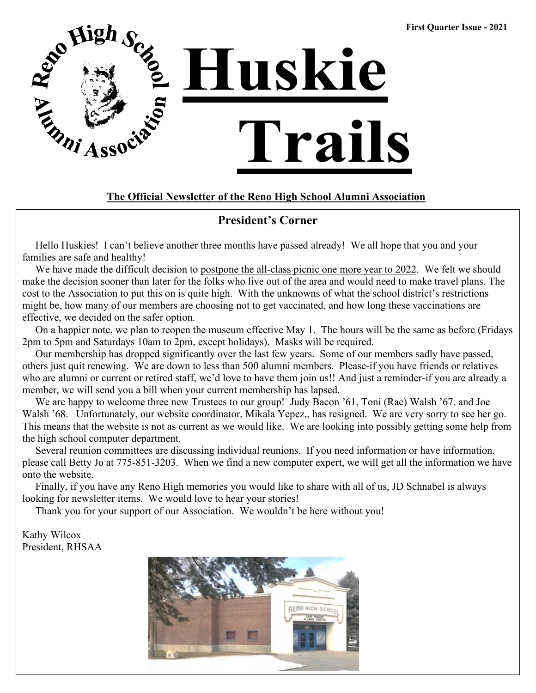

### **The Official Newsletter of the Reno High School Alumni Association**

### **President's Corner**

 Hello Huskies! I can't believe another three months have passed already! We all hope that you and your families are safe and healthy!

We have made the difficult decision to postpone the all-class picnic one more year to 2022. We felt we should make the decision sooner than later for the folks who live out of the area and would need to make travel plans. The cost to the Association to put this on is quite high. With the unknowns of what the school district's restrictions might be, how many of our members are choosing not to get vaccinated, and how long these vaccinations are effective, we decided on the safer option.

 On a happier note, we plan to reopen the museum effective May 1. The hours will be the same as before (Fridays 2pm to 5pm and Saturdays 10am to 2pm, except holidays). Masks will be required.

 Our membership has dropped significantly over the last few years. Some of our members sadly have passed, others just quit renewing. We are down to less than 500 alumni members. Please-if you have friends or relatives who are alumni or current or retired staff, we'd love to have them join us!! And just a reminder-if you are already a member, we will send you a bill when your current membership has lapsed.

We are happy to welcome three new Trustees to our group! Judy Bacon '61, Toni (Rae) Walsh '67, and Joe Walsh '68. Unfortunately, our website coordinator, Mikala Yepez,, has resigned. We are very sorry to see her go. This means that the website is not as current as we would like. We are looking into possibly getting some help from the high school computer department.

 Several reunion committees are discussing individual reunions. If you need information or have information, please call Betty Jo at 775-851-3203. When we find a new computer expert, we will get all the information we have onto the website.

 Finally, if you have any Reno High memories you would like to share with all of us, JD Schnabel is always looking for newsletter items. We would love to hear your stories!

Thank you for your support of our Association. We wouldn't be here without you!

#### Kathy Wilcox President, RHSAA

 $\overline{a}$ 

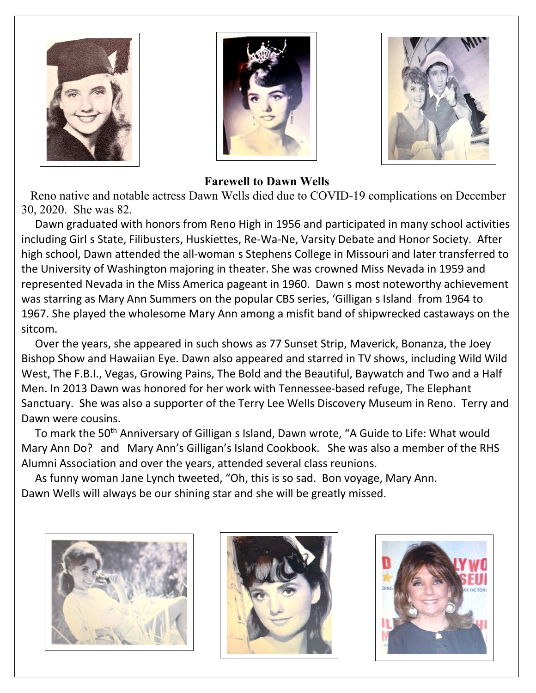





### **Farewell to Dawn Wells**

Reno native and notable actress Dawn Wells died due to COVID-19 complications on December 30, 2020. She was 82.

Dawn graduated with honors from Reno High in 1956 and participated in many school activities including Girl s State, Filibusters, Huskiettes, Re-Wa-Ne, Varsity Debate and Honor Society. After high school, Dawn attended the all-woman s Stephens College in Missouri and later transferred to the University of Washington majoring in theater. She was crowned Miss Nevada in 1959 and represented Nevada in the Miss America pageant in 1960. Dawn s most noteworthy achievement was starring as Mary Ann Summers on the popular CBS series, 'Gilligan s Island from 1964 to 1967. She played the wholesome Mary Ann among a misfit band of shipwrecked castaways on the sitcom.

Over the years, she appeared in such shows as 77 Sunset Strip, Maverick, Bonanza, the Joey Bishop Show and Hawaiian Eye. Dawn also appeared and starred in TV shows, including Wild Wild West, The F.B.I., Vegas, Growing Pains, The Bold and the Beautiful, Baywatch and Two and a Half Men. In 2013 Dawn was honored for her work with Tennessee-based refuge, The Elephant Sanctuary. She was also a supporter of the Terry Lee Wells Discovery Museum in Reno. Terry and Dawn were cousins.

To mark the 50<sup>th</sup> Anniversary of Gilligan s Island, Dawn wrote, "A Guide to Life: What would Mary Ann Do? and Mary Ann's Gilligan's Island Cookbook. She was also a member of the RHS Alumni Association and over the years, attended several class reunions.

As funny woman Jane Lynch tweeted, "Oh, this is so sad. Bon voyage, Mary Ann. Dawn Wells will always be our shining star and she will be greatly missed.





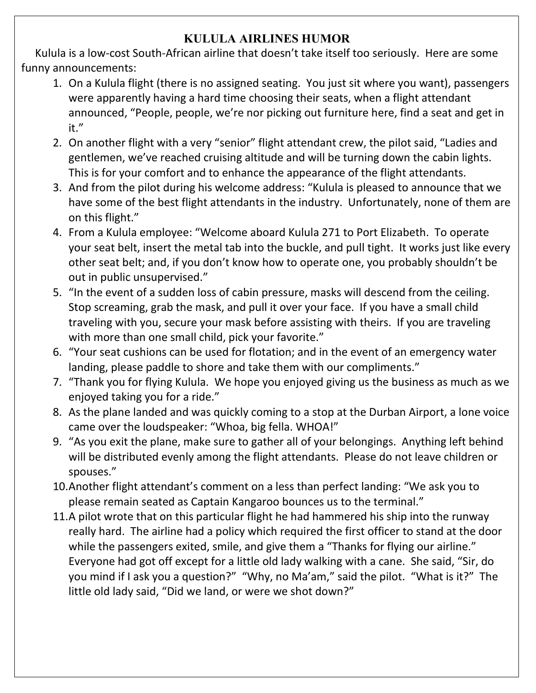### **KULULA AIRLINES HUMOR**

 Kulula is a low-cost South-African airline that doesn't take itself too seriously. Here are some funny announcements:

- 1. On a Kulula flight (there is no assigned seating. You just sit where you want), passengers were apparently having a hard time choosing their seats, when a flight attendant announced, "People, people, we're nor picking out furniture here, find a seat and get in it."
- 2. On another flight with a very "senior" flight attendant crew, the pilot said, "Ladies and gentlemen, we've reached cruising altitude and will be turning down the cabin lights. This is for your comfort and to enhance the appearance of the flight attendants.
- 3. And from the pilot during his welcome address: "Kulula is pleased to announce that we have some of the best flight attendants in the industry. Unfortunately, none of them are on this flight."
- 4. From a Kulula employee: "Welcome aboard Kulula 271 to Port Elizabeth. To operate your seat belt, insert the metal tab into the buckle, and pull tight. It works just like every other seat belt; and, if you don't know how to operate one, you probably shouldn't be out in public unsupervised."
- 5. "In the event of a sudden loss of cabin pressure, masks will descend from the ceiling. Stop screaming, grab the mask, and pull it over your face. If you have a small child traveling with you, secure your mask before assisting with theirs. If you are traveling with more than one small child, pick your favorite."
- 6. "Your seat cushions can be used for flotation; and in the event of an emergency water landing, please paddle to shore and take them with our compliments."
- 7. "Thank you for flying Kulula. We hope you enjoyed giving us the business as much as we enjoyed taking you for a ride."
- 8. As the plane landed and was quickly coming to a stop at the Durban Airport, a lone voice came over the loudspeaker: "Whoa, big fella. WHOA!"
- 9. "As you exit the plane, make sure to gather all of your belongings. Anything left behind will be distributed evenly among the flight attendants. Please do not leave children or spouses."
- 10.Another flight attendant's comment on a less than perfect landing: "We ask you to please remain seated as Captain Kangaroo bounces us to the terminal."
- 11.A pilot wrote that on this particular flight he had hammered his ship into the runway really hard. The airline had a policy which required the first officer to stand at the door while the passengers exited, smile, and give them a "Thanks for flying our airline." Everyone had got off except for a little old lady walking with a cane. She said, "Sir, do you mind if I ask you a question?" "Why, no Ma'am," said the pilot. "What is it?" The little old lady said, "Did we land, or were we shot down?"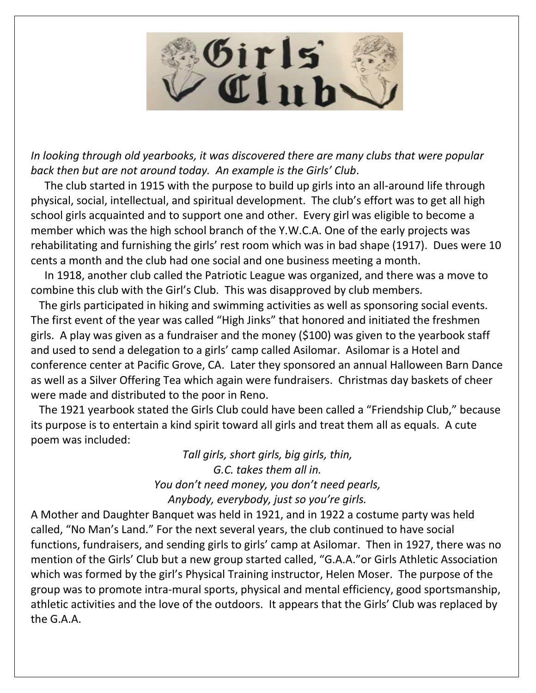

*In looking through old yearbooks, it was discovered there are many clubs that were popular back then but are not around today. An example is the Girls' Club*.

 The club started in 1915 with the purpose to build up girls into an all-around life through physical, social, intellectual, and spiritual development. The club's effort was to get all high school girls acquainted and to support one and other. Every girl was eligible to become a member which was the high school branch of the Y.W.C.A. One of the early projects was rehabilitating and furnishing the girls' rest room which was in bad shape (1917). Dues were 10 cents a month and the club had one social and one business meeting a month.

 In 1918, another club called the Patriotic League was organized, and there was a move to combine this club with the Girl's Club. This was disapproved by club members.

 The girls participated in hiking and swimming activities as well as sponsoring social events. The first event of the year was called "High Jinks" that honored and initiated the freshmen girls. A play was given as a fundraiser and the money (\$100) was given to the yearbook staff and used to send a delegation to a girls' camp called Asilomar. Asilomar is a Hotel and conference center at Pacific Grove, CA. Later they sponsored an annual Halloween Barn Dance as well as a Silver Offering Tea which again were fundraisers. Christmas day baskets of cheer were made and distributed to the poor in Reno.

 The 1921 yearbook stated the Girls Club could have been called a "Friendship Club," because its purpose is to entertain a kind spirit toward all girls and treat them all as equals. A cute poem was included:

> *Tall girls, short girls, big girls, thin, G.C. takes them all in. You don't need money, you don't need pearls, Anybody, everybody, just so you're girls.*

A Mother and Daughter Banquet was held in 1921, and in 1922 a costume party was held called, "No Man's Land." For the next several years, the club continued to have social functions, fundraisers, and sending girls to girls' camp at Asilomar. Then in 1927, there was no mention of the Girls' Club but a new group started called, "G.A.A."or Girls Athletic Association which was formed by the girl's Physical Training instructor, Helen Moser. The purpose of the group was to promote intra-mural sports, physical and mental efficiency, good sportsmanship, athletic activities and the love of the outdoors. It appears that the Girls' Club was replaced by the G.A.A.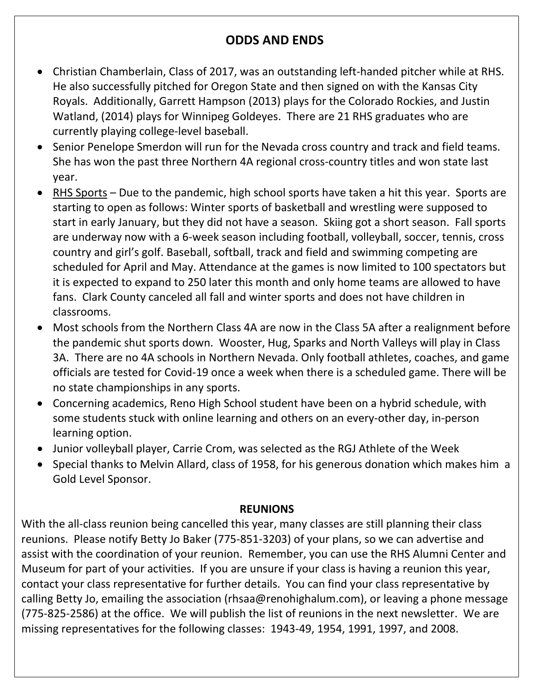## **ODDS AND ENDS**

- Christian Chamberlain, Class of 2017, was an outstanding left-handed pitcher while at RHS. He also successfully pitched for Oregon State and then signed on with the Kansas City Royals. Additionally, Garrett Hampson (2013) plays for the Colorado Rockies, and Justin Watland, (2014) plays for Winnipeg Goldeyes. There are 21 RHS graduates who are currently playing college-level baseball.
- Senior Penelope Smerdon will run for the Nevada cross country and track and field teams. She has won the past three Northern 4A regional cross-country titles and won state last year.
- RHS Sports Due to the pandemic, high school sports have taken a hit this year. Sports are starting to open as follows: Winter sports of basketball and wrestling were supposed to start in early January, but they did not have a season. Skiing got a short season. Fall sports are underway now with a 6-week season including football, volleyball, soccer, tennis, cross country and girl's golf. Baseball, softball, track and field and swimming competing are scheduled for April and May. Attendance at the games is now limited to 100 spectators but it is expected to expand to 250 later this month and only home teams are allowed to have fans. Clark County canceled all fall and winter sports and does not have children in classrooms.
- Most schools from the Northern Class 4A are now in the Class 5A after a realignment before the pandemic shut sports down. Wooster, Hug, Sparks and North Valleys will play in Class 3A. There are no 4A schools in Northern Nevada. Only football athletes, coaches, and game officials are tested for Covid-19 once a week when there is a scheduled game. There will be no state championships in any sports.
- Concerning academics, Reno High School student have been on a hybrid schedule, with some students stuck with online learning and others on an every-other day, in-person learning option.
- Junior volleyball player, Carrie Crom, was selected as the RGJ Athlete of the Week
- Special thanks to Melvin Allard, class of 1958, for his generous donation which makes him a Gold Level Sponsor.

### **REUNIONS**

With the all-class reunion being cancelled this year, many classes are still planning their class reunions. Please notify Betty Jo Baker (775-851-3203) of your plans, so we can advertise and assist with the coordination of your reunion. Remember, you can use the RHS Alumni Center and Museum for part of your activities. If you are unsure if your class is having a reunion this year, contact your class representative for further details. You can find your class representative by calling Betty Jo, emailing the association (rhsaa@renohighalum.com), or leaving a phone message (775-825-2586) at the office. We will publish the list of reunions in the next newsletter. We are missing representatives for the following classes: 1943-49, 1954, 1991, 1997, and 2008.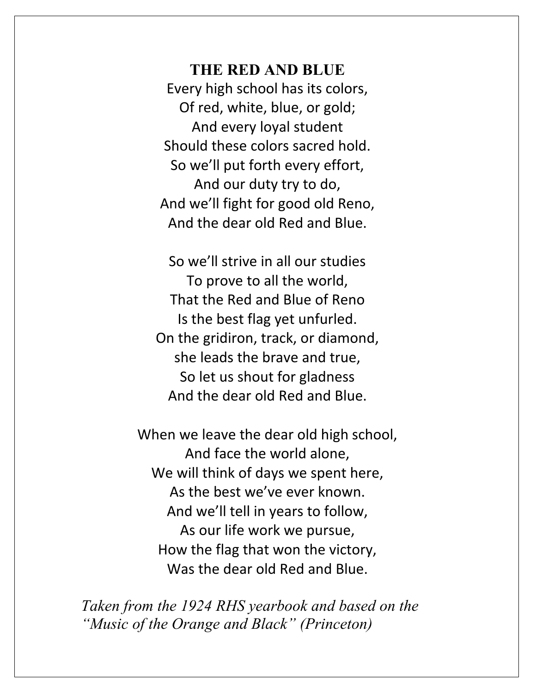**THE RED AND BLUE** Every high school has its colors, Of red, white, blue, or gold; And every loyal student Should these colors sacred hold. So we'll put forth every effort, And our duty try to do, And we'll fight for good old Reno, And the dear old Red and Blue.

So we'll strive in all our studies To prove to all the world, That the Red and Blue of Reno Is the best flag yet unfurled. On the gridiron, track, or diamond, she leads the brave and true, So let us shout for gladness And the dear old Red and Blue.

When we leave the dear old high school, And face the world alone, We will think of days we spent here, As the best we've ever known. And we'll tell in years to follow, As our life work we pursue, How the flag that won the victory, Was the dear old Red and Blue.

*Taken from the 1924 RHS yearbook and based on the "Music of the Orange and Black" (Princeton)*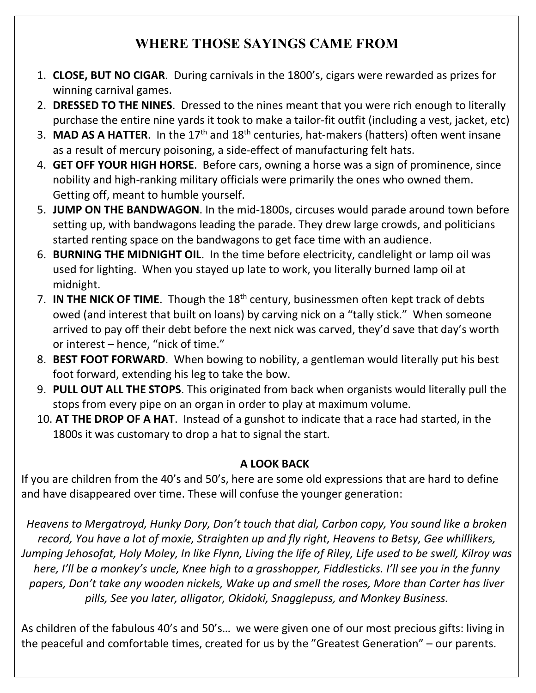# **WHERE THOSE SAYINGS CAME FROM**

- 1. **CLOSE, BUT NO CIGAR**. During carnivals in the 1800's, cigars were rewarded as prizes for winning carnival games.
- 2. **DRESSED TO THE NINES**. Dressed to the nines meant that you were rich enough to literally purchase the entire nine yards it took to make a tailor-fit outfit (including a vest, jacket, etc)
- 3. MAD AS A HATTER. In the 17<sup>th</sup> and 18<sup>th</sup> centuries, hat-makers (hatters) often went insane as a result of mercury poisoning, a side-effect of manufacturing felt hats.
- 4. **GET OFF YOUR HIGH HORSE**. Before cars, owning a horse was a sign of prominence, since nobility and high-ranking military officials were primarily the ones who owned them. Getting off, meant to humble yourself.
- 5. **JUMP ON THE BANDWAGON**. In the mid-1800s, circuses would parade around town before setting up, with bandwagons leading the parade. They drew large crowds, and politicians started renting space on the bandwagons to get face time with an audience.
- 6. **BURNING THE MIDNIGHT OIL**. In the time before electricity, candlelight or lamp oil was used for lighting. When you stayed up late to work, you literally burned lamp oil at midnight.
- 7. **IN THE NICK OF TIME**. Though the 18<sup>th</sup> century, businessmen often kept track of debts owed (and interest that built on loans) by carving nick on a "tally stick." When someone arrived to pay off their debt before the next nick was carved, they'd save that day's worth or interest – hence, "nick of time."
- 8. **BEST FOOT FORWARD**. When bowing to nobility, a gentleman would literally put his best foot forward, extending his leg to take the bow.
- 9. **PULL OUT ALL THE STOPS**. This originated from back when organists would literally pull the stops from every pipe on an organ in order to play at maximum volume.
- 10. **AT THE DROP OF A HAT**. Instead of a gunshot to indicate that a race had started, in the 1800s it was customary to drop a hat to signal the start.

## **A LOOK BACK**

If you are children from the 40's and 50's, here are some old expressions that are hard to define and have disappeared over time. These will confuse the younger generation:

*Heavens to Mergatroyd, Hunky Dory, Don't touch that dial, Carbon copy, You sound like a broken record, You have a lot of moxie, Straighten up and fly right, Heavens to Betsy, Gee whillikers, Jumping Jehosofat, Holy Moley, In like Flynn, Living the life of Riley, Life used to be swell, Kilroy was here, I'll be a monkey's uncle, Knee high to a grasshopper, Fiddlesticks. I'll see you in the funny papers, Don't take any wooden nickels, Wake up and smell the roses, More than Carter has liver pills, See you later, alligator, Okidoki, Snagglepuss, and Monkey Business.*

As children of the fabulous 40's and 50's… we were given one of our most precious gifts: living in the peaceful and comfortable times, created for us by the "Greatest Generation" – our parents.